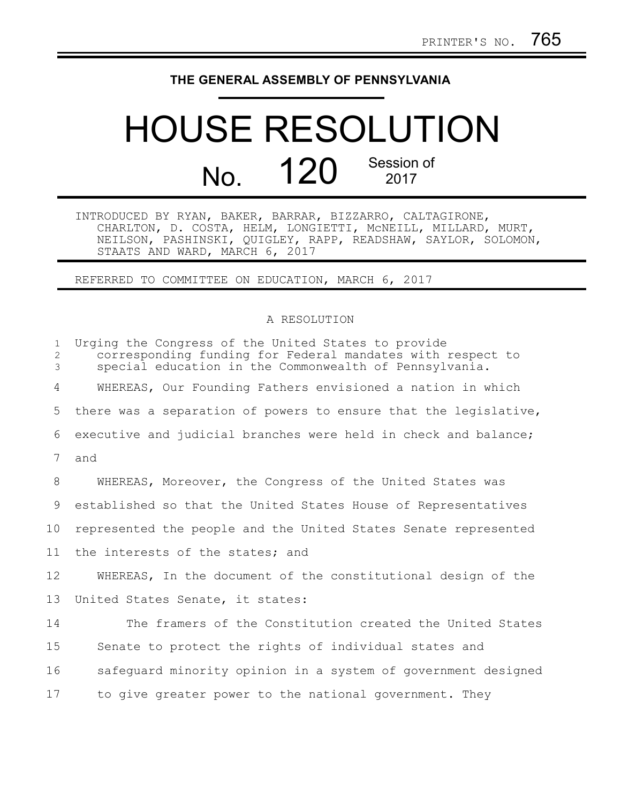## **THE GENERAL ASSEMBLY OF PENNSYLVANIA**

## HOUSE RESOLUTION No. 120 Session of 2017

INTRODUCED BY RYAN, BAKER, BARRAR, BIZZARRO, CALTAGIRONE, CHARLTON, D. COSTA, HELM, LONGIETTI, McNEILL, MILLARD, MURT, NEILSON, PASHINSKI, QUIGLEY, RAPP, READSHAW, SAYLOR, SOLOMON, STAATS AND WARD, MARCH 6, 2017

REFERRED TO COMMITTEE ON EDUCATION, MARCH 6, 2017

## A RESOLUTION

| $\mathbf{1}$<br>2<br>3 | Urging the Congress of the United States to provide<br>corresponding funding for Federal mandates with respect to<br>special education in the Commonwealth of Pennsylvania. |
|------------------------|-----------------------------------------------------------------------------------------------------------------------------------------------------------------------------|
| 4                      | WHEREAS, Our Founding Fathers envisioned a nation in which                                                                                                                  |
| 5                      | there was a separation of powers to ensure that the legislative,                                                                                                            |
| 6                      | executive and judicial branches were held in check and balance;                                                                                                             |
| 7                      | and                                                                                                                                                                         |
| 8                      | WHEREAS, Moreover, the Congress of the United States was                                                                                                                    |
| 9                      | established so that the United States House of Representatives                                                                                                              |
| 10                     | represented the people and the United States Senate represented                                                                                                             |
| 11                     | the interests of the states; and                                                                                                                                            |
| 12                     | WHEREAS, In the document of the constitutional design of the                                                                                                                |
| 13                     | United States Senate, it states:                                                                                                                                            |
| 14                     | The framers of the Constitution created the United States                                                                                                                   |
| 15                     | Senate to protect the rights of individual states and                                                                                                                       |
| 16                     | safequard minority opinion in a system of government designed                                                                                                               |
| 17                     | to give greater power to the national government. They                                                                                                                      |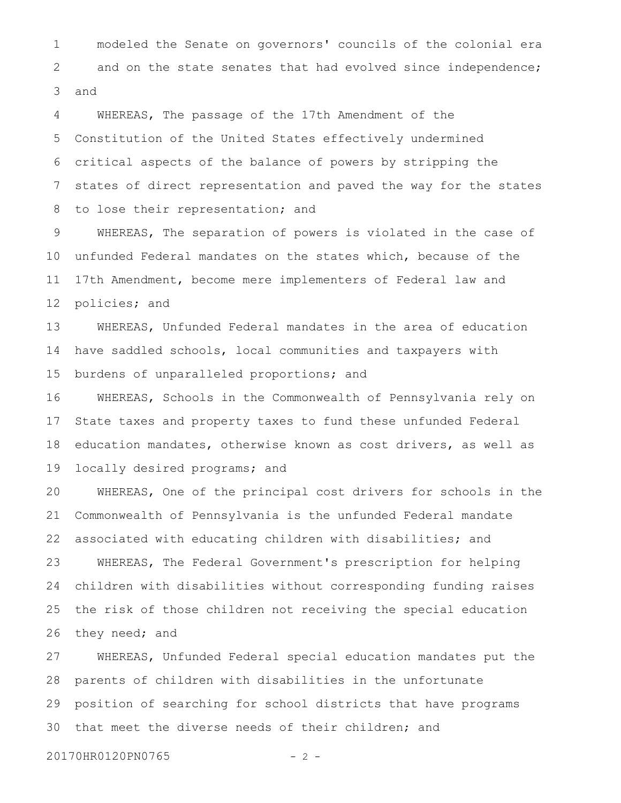modeled the Senate on governors' councils of the colonial era and on the state senates that had evolved since independence; and 1 2 3

WHEREAS, The passage of the 17th Amendment of the Constitution of the United States effectively undermined critical aspects of the balance of powers by stripping the states of direct representation and paved the way for the states to lose their representation; and 4 5 6 7 8

WHEREAS, The separation of powers is violated in the case of unfunded Federal mandates on the states which, because of the 17th Amendment, become mere implementers of Federal law and policies; and 9 10 11 12

WHEREAS, Unfunded Federal mandates in the area of education have saddled schools, local communities and taxpayers with burdens of unparalleled proportions; and 13 14 15

WHEREAS, Schools in the Commonwealth of Pennsylvania rely on State taxes and property taxes to fund these unfunded Federal education mandates, otherwise known as cost drivers, as well as locally desired programs; and 16 17 18 19

WHEREAS, One of the principal cost drivers for schools in the Commonwealth of Pennsylvania is the unfunded Federal mandate associated with educating children with disabilities; and WHEREAS, The Federal Government's prescription for helping children with disabilities without corresponding funding raises the risk of those children not receiving the special education they need; and 20 21 22 23 24 25 26

WHEREAS, Unfunded Federal special education mandates put the parents of children with disabilities in the unfortunate position of searching for school districts that have programs that meet the diverse needs of their children; and 27 28 29 30

20170HR0120PN0765 - 2 -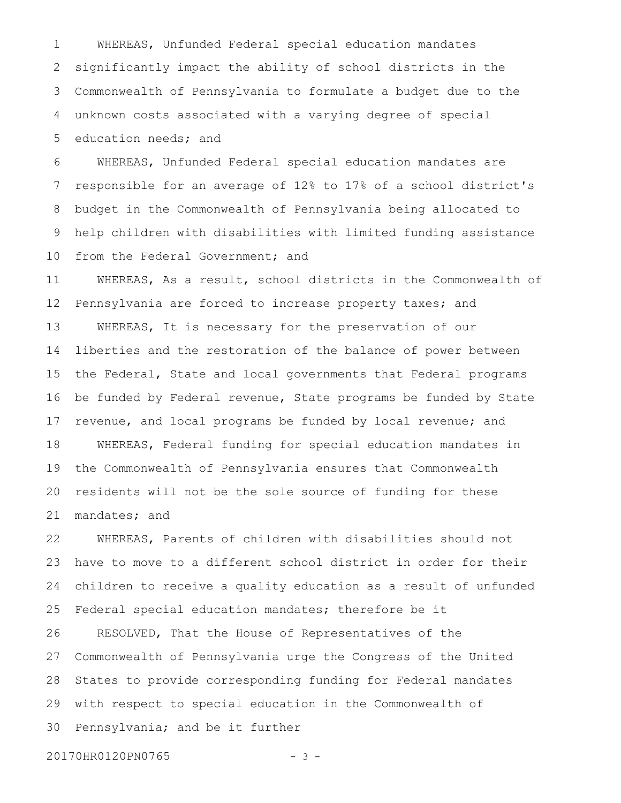WHEREAS, Unfunded Federal special education mandates significantly impact the ability of school districts in the Commonwealth of Pennsylvania to formulate a budget due to the unknown costs associated with a varying degree of special education needs; and 1 2 3 4 5

WHEREAS, Unfunded Federal special education mandates are responsible for an average of 12% to 17% of a school district's budget in the Commonwealth of Pennsylvania being allocated to help children with disabilities with limited funding assistance from the Federal Government; and 6 7 8 9 10

WHEREAS, As a result, school districts in the Commonwealth of Pennsylvania are forced to increase property taxes; and WHEREAS, It is necessary for the preservation of our liberties and the restoration of the balance of power between the Federal, State and local governments that Federal programs be funded by Federal revenue, State programs be funded by State revenue, and local programs be funded by local revenue; and WHEREAS, Federal funding for special education mandates in the Commonwealth of Pennsylvania ensures that Commonwealth residents will not be the sole source of funding for these mandates; and 11 12 13 14 15 16 17 18 19 20 21

WHEREAS, Parents of children with disabilities should not have to move to a different school district in order for their children to receive a quality education as a result of unfunded Federal special education mandates; therefore be it RESOLVED, That the House of Representatives of the Commonwealth of Pennsylvania urge the Congress of the United States to provide corresponding funding for Federal mandates with respect to special education in the Commonwealth of Pennsylvania; and be it further 22 23 24 25 26 27 28 29 30

20170HR0120PN0765 - 3 -